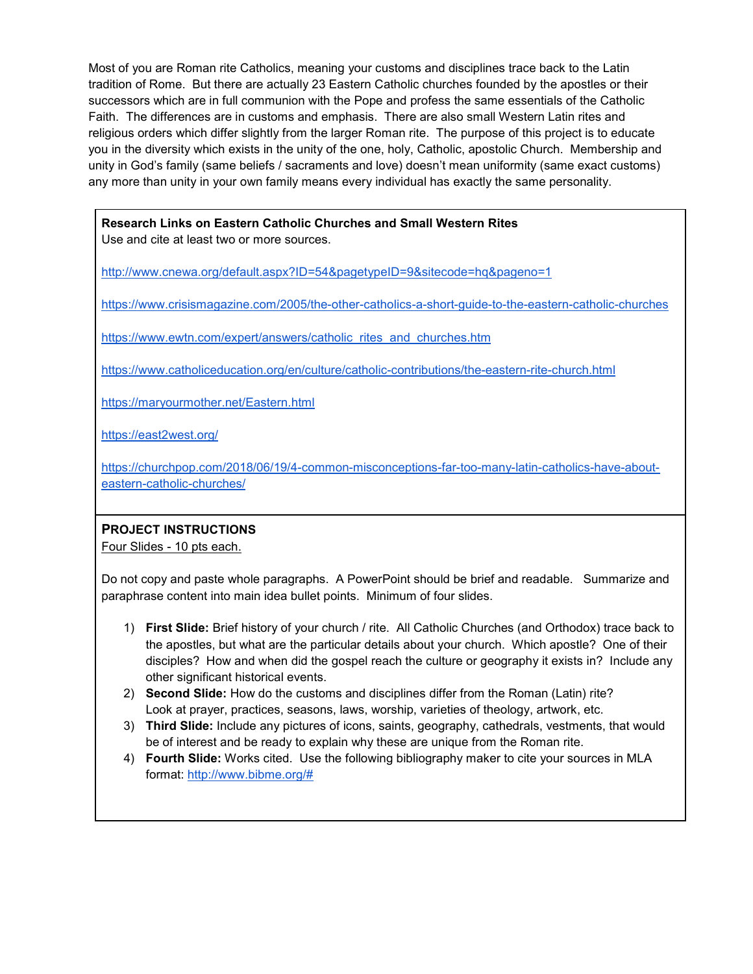Most of you are Roman rite Catholics, meaning your customs and disciplines trace back to the Latin tradition of Rome. But there are actually 23 Eastern Catholic churches founded by the apostles or their successors which are in full communion with the Pope and profess the same essentials of the Catholic Faith. The differences are in customs and emphasis. There are also small Western Latin rites and religious orders which differ slightly from the larger Roman rite. The purpose of this project is to educate you in the diversity which exists in the unity of the one, holy, Catholic, apostolic Church. Membership and unity in God's family (same beliefs / sacraments and love) doesn't mean uniformity (same exact customs) any more than unity in your own family means every individual has exactly the same personality.

## **Research Links on Eastern Catholic Churches and Small Western Rites**  Use and cite at least two or more sources.

<http://www.cnewa.org/default.aspx?ID=54&pagetypeID=9&sitecode=hq&pageno=1>

<https://www.crisismagazine.com/2005/the-other-catholics-a-short-guide-to-the-eastern-catholic-churches>

[https://www.ewtn.com/expert/answers/catholic\\_rites\\_and\\_churches.htm](https://www.ewtn.com/expert/answers/catholic_rites_and_churches.htm)

<https://www.catholiceducation.org/en/culture/catholic-contributions/the-eastern-rite-church.html>

<https://maryourmother.net/Eastern.html>

<https://east2west.org/>

[https://churchpop.com/2018/06/19/4-common-misconceptions-far-too-many-latin-catholics-have-about](https://churchpop.com/2018/06/19/4-common-misconceptions-far-too-many-latin-catholics-have-about-eastern-catholic-churches/)[eastern-catholic-churches/](https://churchpop.com/2018/06/19/4-common-misconceptions-far-too-many-latin-catholics-have-about-eastern-catholic-churches/)

## **PROJECT INSTRUCTIONS**

Four Slides - 10 pts each.

Do not copy and paste whole paragraphs. A PowerPoint should be brief and readable. Summarize and paraphrase content into main idea bullet points. Minimum of four slides.

- 1) **First Slide:** Brief history of your church / rite. All Catholic Churches (and Orthodox) trace back to the apostles, but what are the particular details about your church. Which apostle? One of their disciples? How and when did the gospel reach the culture or geography it exists in? Include any other significant historical events.
- 2) **Second Slide:** How do the customs and disciplines differ from the Roman (Latin) rite? Look at prayer, practices, seasons, laws, worship, varieties of theology, artwork, etc.
- 3) **Third Slide:** Include any pictures of icons, saints, geography, cathedrals, vestments, that would be of interest and be ready to explain why these are unique from the Roman rite.
- 4) **Fourth Slide:** Works cited. Use the following bibliography maker to cite your sources in MLA format: [http://www.bibme.org/#](http://www.bibme.org/)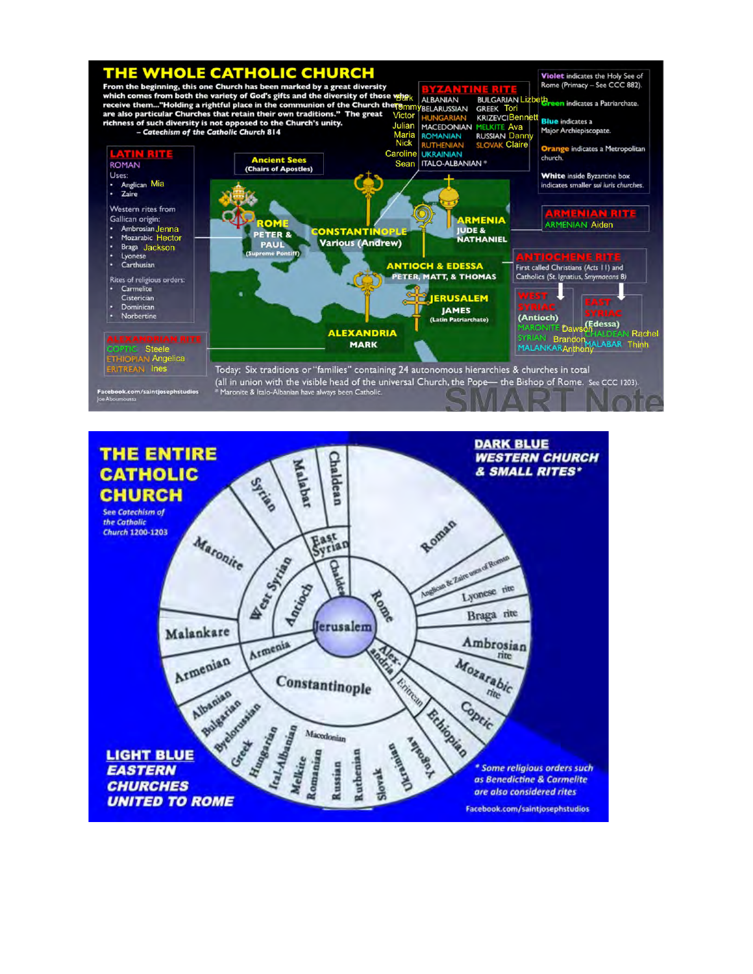